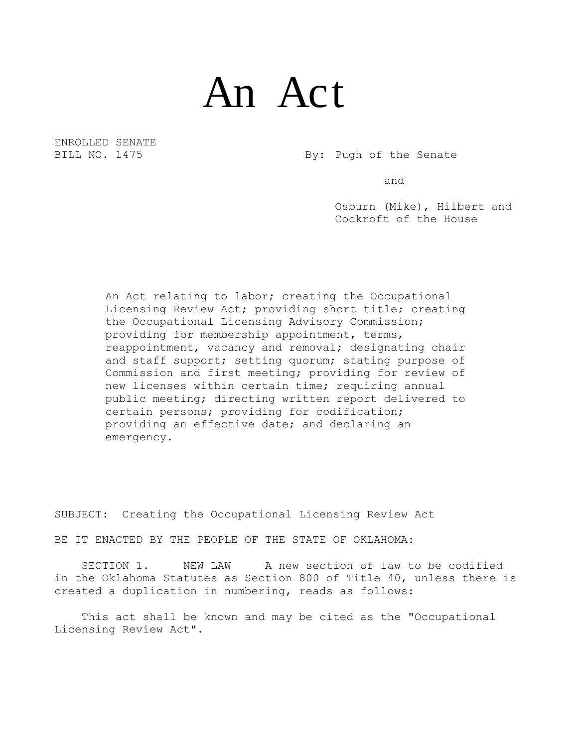## An Act

ENROLLED SENATE

BILL NO. 1475 By: Pugh of the Senate

and

Osburn (Mike), Hilbert and Cockroft of the House

An Act relating to labor; creating the Occupational Licensing Review Act; providing short title; creating the Occupational Licensing Advisory Commission; providing for membership appointment, terms, reappointment, vacancy and removal; designating chair and staff support; setting quorum; stating purpose of Commission and first meeting; providing for review of new licenses within certain time; requiring annual public meeting; directing written report delivered to certain persons; providing for codification; providing an effective date; and declaring an emergency.

SUBJECT: Creating the Occupational Licensing Review Act

BE IT ENACTED BY THE PEOPLE OF THE STATE OF OKLAHOMA:

SECTION 1. NEW LAW A new section of law to be codified in the Oklahoma Statutes as Section 800 of Title 40, unless there is created a duplication in numbering, reads as follows:

This act shall be known and may be cited as the "Occupational Licensing Review Act".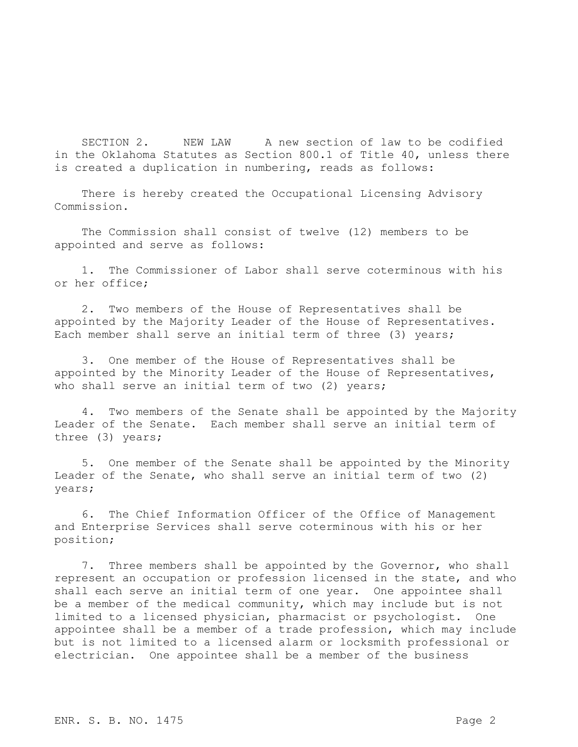SECTION 2. NEW LAW A new section of law to be codified in the Oklahoma Statutes as Section 800.1 of Title 40, unless there is created a duplication in numbering, reads as follows:

There is hereby created the Occupational Licensing Advisory Commission.

The Commission shall consist of twelve (12) members to be appointed and serve as follows:

1. The Commissioner of Labor shall serve coterminous with his or her office;

2. Two members of the House of Representatives shall be appointed by the Majority Leader of the House of Representatives. Each member shall serve an initial term of three (3) years;

3. One member of the House of Representatives shall be appointed by the Minority Leader of the House of Representatives, who shall serve an initial term of two (2) years;

4. Two members of the Senate shall be appointed by the Majority Leader of the Senate. Each member shall serve an initial term of three (3) years;

5. One member of the Senate shall be appointed by the Minority Leader of the Senate, who shall serve an initial term of two (2) years;

6. The Chief Information Officer of the Office of Management and Enterprise Services shall serve coterminous with his or her position;

7. Three members shall be appointed by the Governor, who shall represent an occupation or profession licensed in the state, and who shall each serve an initial term of one year. One appointee shall be a member of the medical community, which may include but is not limited to a licensed physician, pharmacist or psychologist. One appointee shall be a member of a trade profession, which may include but is not limited to a licensed alarm or locksmith professional or electrician. One appointee shall be a member of the business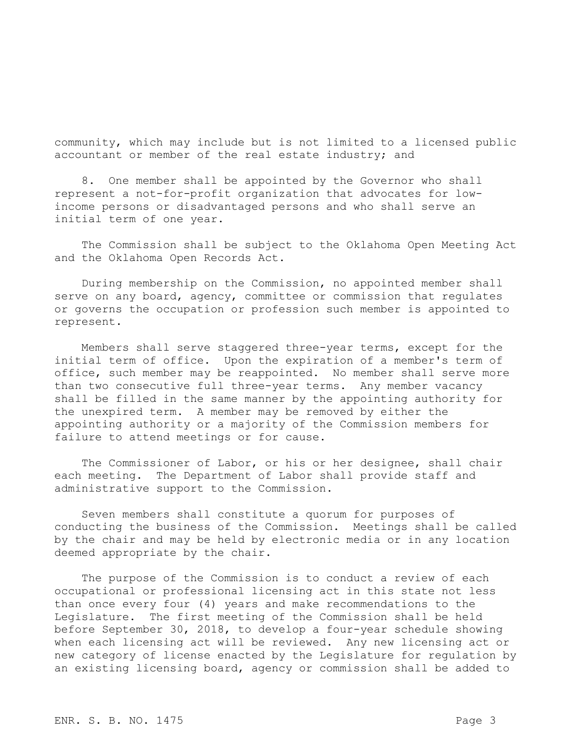community, which may include but is not limited to a licensed public accountant or member of the real estate industry; and

8. One member shall be appointed by the Governor who shall represent a not-for-profit organization that advocates for lowincome persons or disadvantaged persons and who shall serve an initial term of one year.

The Commission shall be subject to the Oklahoma Open Meeting Act and the Oklahoma Open Records Act.

During membership on the Commission, no appointed member shall serve on any board, agency, committee or commission that regulates or governs the occupation or profession such member is appointed to represent.

Members shall serve staggered three-year terms, except for the initial term of office. Upon the expiration of a member's term of office, such member may be reappointed. No member shall serve more than two consecutive full three-year terms. Any member vacancy shall be filled in the same manner by the appointing authority for the unexpired term. A member may be removed by either the appointing authority or a majority of the Commission members for failure to attend meetings or for cause.

The Commissioner of Labor, or his or her designee, shall chair each meeting. The Department of Labor shall provide staff and administrative support to the Commission.

Seven members shall constitute a quorum for purposes of conducting the business of the Commission. Meetings shall be called by the chair and may be held by electronic media or in any location deemed appropriate by the chair.

The purpose of the Commission is to conduct a review of each occupational or professional licensing act in this state not less than once every four (4) years and make recommendations to the Legislature. The first meeting of the Commission shall be held before September 30, 2018, to develop a four-year schedule showing when each licensing act will be reviewed. Any new licensing act or new category of license enacted by the Legislature for regulation by an existing licensing board, agency or commission shall be added to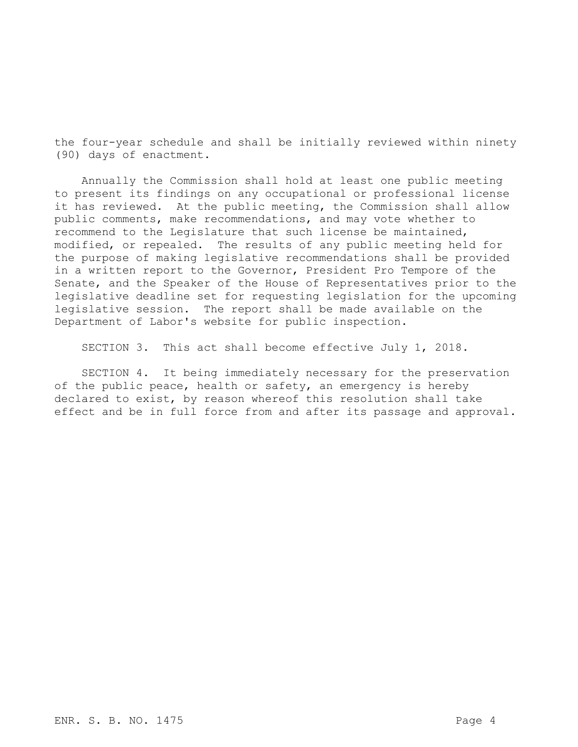the four-year schedule and shall be initially reviewed within ninety (90) days of enactment.

Annually the Commission shall hold at least one public meeting to present its findings on any occupational or professional license it has reviewed. At the public meeting, the Commission shall allow public comments, make recommendations, and may vote whether to recommend to the Legislature that such license be maintained, modified, or repealed. The results of any public meeting held for the purpose of making legislative recommendations shall be provided in a written report to the Governor, President Pro Tempore of the Senate, and the Speaker of the House of Representatives prior to the legislative deadline set for requesting legislation for the upcoming legislative session. The report shall be made available on the Department of Labor's website for public inspection.

SECTION 3. This act shall become effective July 1, 2018.

SECTION 4. It being immediately necessary for the preservation of the public peace, health or safety, an emergency is hereby declared to exist, by reason whereof this resolution shall take effect and be in full force from and after its passage and approval.